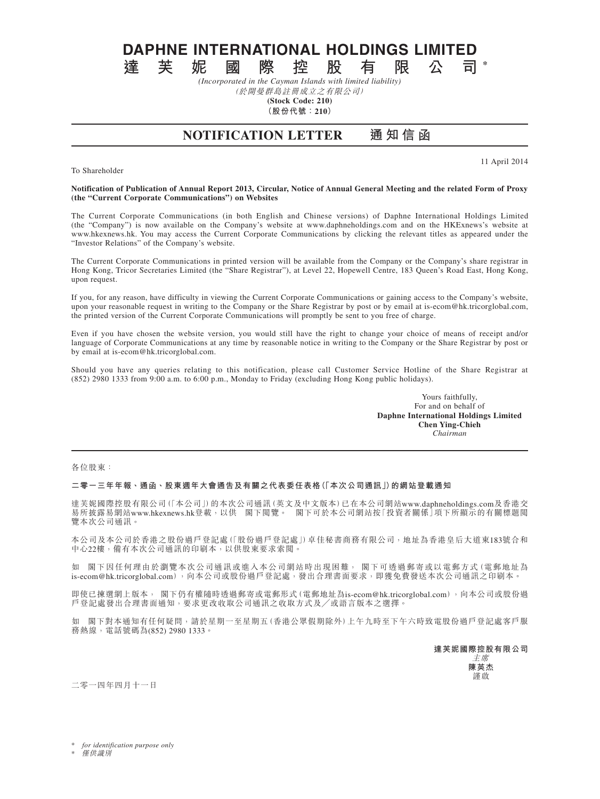**DAPHNE INTERNATIONAL HOLDINGS LIMITED**<br>達 芙 妮 國 際 控 股 有 限 公 司

**達芙妮國際控股有限公司 \*** *(Incorporated in the Cayman Islands with limited liability)*

(於開曼群島註冊成立之有限公司) **(Stock Code: 210)**

**(股份代號:210)**

**NOTIFICATION LETTER 通 知 信 函**

To Shareholder

11 April 2014

## **Notification of Publication of Annual Report 2013, Circular, Notice of Annual General Meeting and the related Form of Proxy (the "Current Corporate Communications") on Websites**

The Current Corporate Communications (in both English and Chinese versions) of Daphne International Holdings Limited (the "Company") is now available on the Company's website at www.daphneholdings.com and on the HKExnews's website at www.hkexnews.hk. You may access the Current Corporate Communications by clicking the relevant titles as appeared under the "Investor Relations" of the Company's website.

The Current Corporate Communications in printed version will be available from the Company or the Company's share registrar in Hong Kong, Tricor Secretaries Limited (the "Share Registrar"), at Level 22, Hopewell Centre, 183 Queen's Road East, Hong Kong, upon request.

If you, for any reason, have difficulty in viewing the Current Corporate Communications or gaining access to the Company's website, upon your reasonable request in writing to the Company or the Share Registrar by post or by email at is-ecom@hk.tricorglobal.com, the printed version of the Current Corporate Communications will promptly be sent to you free of charge.

Even if you have chosen the website version, you would still have the right to change your choice of means of receipt and/or language of Corporate Communications at any time by reasonable notice in writing to the Company or the Share Registrar by post or by email at is-ecom@hk.tricorglobal.com.

Should you have any queries relating to this notification, please call Customer Service Hotline of the Share Registrar at (852) 2980 1333 from 9:00 a.m. to 6:00 p.m., Monday to Friday (excluding Hong Kong public holidays).

> Yours faithfully, For and on behalf of **Daphne International Holdings Limited Chen Ying-Chieh** *Chairman*

各位股東:

## **二零一三年年報、通函、股東週年大會通告及有關之代表委任表格(「本次公司通訊」)的網站登載通知**

達芙妮國際控股有限公司(「本公司」)的本次公司通訊(英文及中文版本)已在本公司網站www.daphneholdings.com及香港交 易所披露易網站www.hkexnews.hk登載,以供 閣下閱覽。 閣下可於本公司網站按「投資者關係」項下所顯示的有關標題閱 覽本次公司通訊。

本公司及本公司於香港之股份過戶登記處(「股份過戶登記處」)卓佳秘書商務有限公司,地址為香港皇后大道東183號合和 中心22樓,備有本次公司通訊的印刷本,以供股東要求索閱。

如 閣下因任何理由於瀏覽本次公司通訊或進入本公司網站時出現困難, 閣下可透過郵寄或以電郵方式(電郵地址為 is-ecom@hk.tricorglobal.com),向本公司或股份過戶登記處,發出合理書面要求,即獲免費發送本次公司通訊之印刷本。

即使已揀選網上版本, 閣下仍有權隨時透過郵寄或電郵形式(電郵地址為is-ecom@hk.tricorglobal.com),向本公司或股份過 戶登記處發出合理書面通知,要求更改收取公司通訊之收取方式及╱或語言版本之選擇。

如 閣下對本通知有任何疑問,請於星期一至星期五(香港公眾假期除外)上午九時至下午六時致電股份過戶登記處客戶服 務熱線,電話號碼為(852) 2980 1333。

> **達芙妮國際控股有限公司** 主席 **陳英杰** 謹啟

二零一四年四月十一日

for *identification* purpose only

**僅供識別**